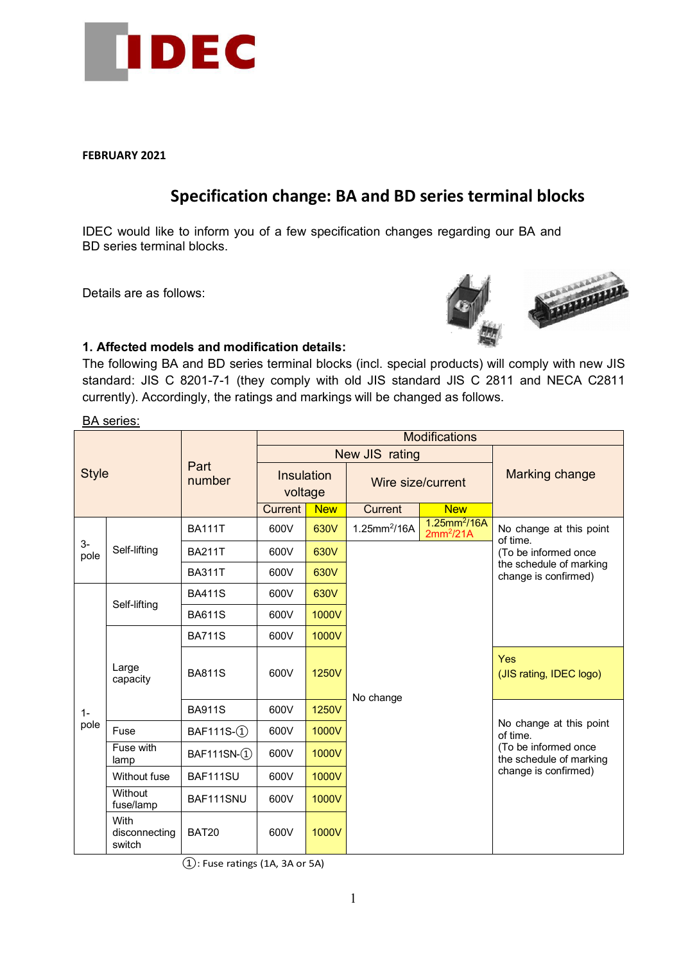

**FEBRUARY 2021**

# **Specification change: BA and BD series terminal blocks**

IDEC would like to inform you of a few specification changes regarding our BA and BD series terminal blocks.

Details are as follows:



# **1. Affected models and modification details:**

The following BA and BD series terminal blocks (incl. special products) will comply with new JIS standard: JIS C 8201-7-1 (they comply with old JIS standard JIS C 2811 and NECA C2811 currently). Accordingly, the ratings and markings will be changed as follows.

BA series:

| <b>Style</b>  |                                 | Part<br>number | <b>Modifications</b>  |            |                          |                                            |                                                                                                                |  |
|---------------|---------------------------------|----------------|-----------------------|------------|--------------------------|--------------------------------------------|----------------------------------------------------------------------------------------------------------------|--|
|               |                                 |                | New JIS rating        |            |                          |                                            |                                                                                                                |  |
|               |                                 |                | Insulation<br>voltage |            | Wire size/current        |                                            | <b>Marking change</b>                                                                                          |  |
|               |                                 |                | <b>Current</b>        | <b>New</b> | Current                  | <b>New</b>                                 |                                                                                                                |  |
| $3-$<br>pole  | Self-lifting                    | <b>BA111T</b>  | 600V                  | 630V       | 1.25mm <sup>2</sup> /16A | $1.25$ mm <sup>2</sup> /16A<br>$2mm^2/21A$ | No change at this point<br>of time.<br>(To be informed once<br>the schedule of marking<br>change is confirmed) |  |
|               |                                 | <b>BA211T</b>  | 600V                  | 630V       |                          |                                            |                                                                                                                |  |
|               |                                 | <b>BA311T</b>  | 600V                  | 630V       |                          |                                            |                                                                                                                |  |
| $1 -$<br>pole | Self-lifting                    | <b>BA411S</b>  | 600V                  | 630V       |                          |                                            |                                                                                                                |  |
|               |                                 | <b>BA611S</b>  | 600V                  | 1000V      |                          |                                            |                                                                                                                |  |
|               | Large<br>capacity               | <b>BA711S</b>  | 600V                  | 1000V      |                          |                                            |                                                                                                                |  |
|               |                                 | <b>BA811S</b>  | 600V                  | 1250V      | No change                |                                            | Yes<br>(JIS rating, IDEC logo)                                                                                 |  |
|               |                                 | <b>BA911S</b>  | 600V                  | 1250V      |                          |                                            |                                                                                                                |  |
|               | Fuse                            | BAF111S-(1)    | 600V                  | 1000V      |                          |                                            | No change at this point<br>of time.<br>(To be informed once<br>the schedule of marking<br>change is confirmed) |  |
|               | Fuse with<br>lamp               | BAF111SN-(1)   | 600V                  | 1000V      |                          |                                            |                                                                                                                |  |
|               | Without fuse                    | BAF111SU       | 600V                  | 1000V      |                          |                                            |                                                                                                                |  |
|               | Without<br>fuse/lamp            | BAF111SNU      | 600V                  | 1000V      |                          |                                            |                                                                                                                |  |
|               | With<br>disconnecting<br>switch | <b>BAT20</b>   | 600V                  | 1000V      |                          |                                            |                                                                                                                |  |

 $(1)$ : Fuse ratings (1A, 3A or 5A)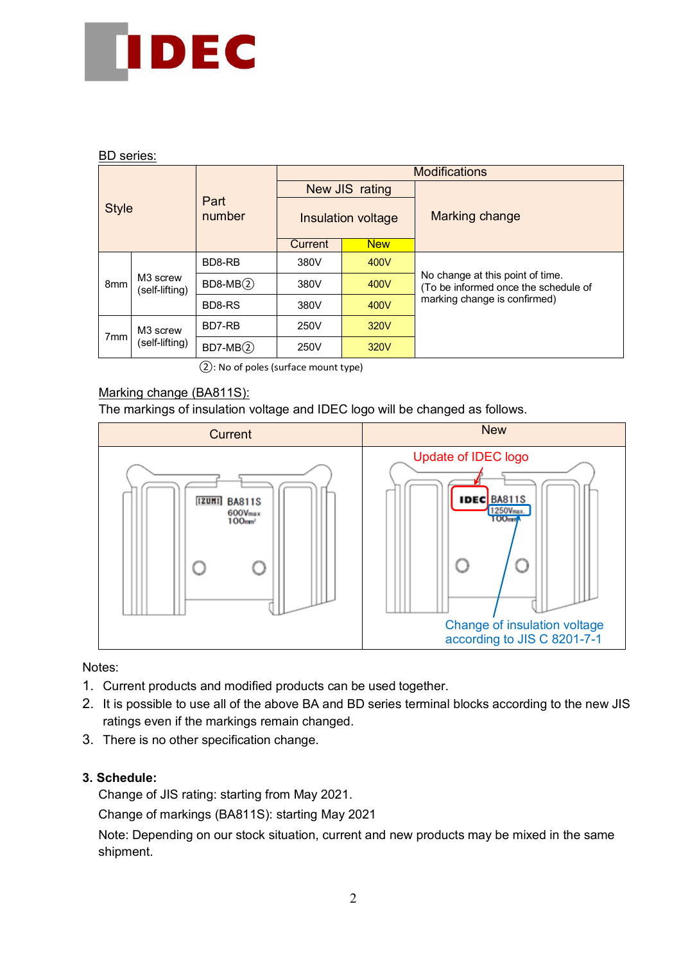

### BD series:

| <b>Style</b>    |                                        |                | <b>Modifications</b> |                    |                                                                          |  |  |
|-----------------|----------------------------------------|----------------|----------------------|--------------------|--------------------------------------------------------------------------|--|--|
|                 |                                        |                |                      | New JIS rating     | Marking change                                                           |  |  |
|                 |                                        | Part<br>number |                      | Insulation voltage |                                                                          |  |  |
|                 |                                        |                | Current              | <b>New</b>         |                                                                          |  |  |
| 8 <sub>mm</sub> | M <sub>3</sub> screw<br>(self-lifting) | BD8-RB         | 380V                 | 400V               |                                                                          |  |  |
|                 |                                        | $BD8-MB(2)$    | 380V                 | 400V               | No change at this point of time.<br>(To be informed once the schedule of |  |  |
|                 |                                        | BD8-RS         | 380V                 | 400V               | marking change is confirmed)                                             |  |  |
| 7 <sub>mm</sub> | M <sub>3</sub> screw<br>(self-lifting) | BD7-RB         | 250V                 | 320V               |                                                                          |  |  |
|                 |                                        | $BD7-MB(2)$    | 250V                 | 320V               |                                                                          |  |  |

②: No of poles (surface mount type)

# Marking change (BA811S):

The markings of insulation voltage and IDEC logo will be changed as follows.



#### Notes:

- 1. Current products and modified products can be used together.
- 2. It is possible to use all of the above BA and BD series terminal blocks according to the new JIS ratings even if the markings remain changed.
- 3. There is no other specification change.

## **3. Schedule:**

Change of JIS rating: starting from May 2021.

Change of markings (BA811S): starting May 2021

Note: Depending on our stock situation, current and new products may be mixed in the same shipment.